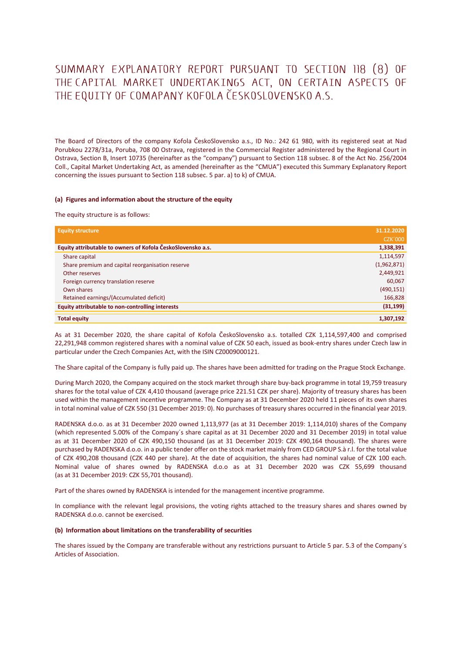# SUMMARY EXPLANATORY REPORT PURSUANT TO SECTION 118 (8) OF THE CAPITAL MARKET UNDERTAKINGS ACT, ON CERTAIN ASPECTS OF THE EQUITY OF COMAPANY KOFOLA ČESKOSLOVENSKO A.S.

The Board of Directors of the company Kofola ČeskoSlovensko a.s., ID No.: 242 61 980, with its registered seat at Nad Porubkou 2278/31a, Poruba, 708 00 Ostrava, registered in the Commercial Register administered by the Regional Court in Ostrava, Section B, Insert 10735 (hereinafter as the "company") pursuant to Section 118 subsec. 8 of the Act No. 256/2004 Coll., Capital Market Undertaking Act, as amended (hereinafter as the "CMUA") executed this Summary Explanatory Report concerning the issues pursuant to Section 118 subsec. 5 par. a) to k) of CMUA.

#### **(a) Figures and information about the structure of the equity**

The equity structure is as follows:

| <b>Equity structure</b>                                     | 31.12.2020     |
|-------------------------------------------------------------|----------------|
|                                                             | <b>CZK'000</b> |
| Equity attributable to owners of Kofola ČeskoSlovensko a.s. | 1,338,391      |
| Share capital                                               | 1,114,597      |
| Share premium and capital reorganisation reserve            | (1,962,871)    |
| Other reserves                                              | 2,449,921      |
| Foreign currency translation reserve                        | 60,067         |
| Own shares                                                  | (490, 151)     |
| Retained earnings/(Accumulated deficit)                     | 166,828        |
| Equity attributable to non-controlling interests            | (31, 199)      |
| <b>Total equity</b>                                         | 1,307,192      |

As at 31 December 2020, the share capital of Kofola ČeskoSlovensko a.s. totalled CZK 1,114,597,400 and comprised 22,291,948 common registered shares with a nominal value of CZK 50 each, issued as book-entry shares under Czech law in particular under the Czech Companies Act, with the ISIN CZ0009000121.

The Share capital of the Company is fully paid up. The shares have been admitted for trading on the Prague Stock Exchange.

During March 2020, the Company acquired on the stock market through share buy-back programme in total 19,759 treasury shares for the total value of CZK 4,410 thousand (average price 221.51 CZK per share). Majority of treasury shares has been used within the management incentive programme. The Company as at 31 December 2020 held 11 pieces of its own shares in total nominal value of CZK 550 (31 December 2019: 0). No purchases of treasury shares occurred in the financial year 2019.

RADENSKA d.o.o. as at 31 December 2020 owned 1,113,977 (as at 31 December 2019: 1,114,010) shares of the Company (which represented 5.00% of the Company´s share capital as at 31 December 2020 and 31 December 2019) in total value as at 31 December 2020 of CZK 490,150 thousand (as at 31 December 2019: CZK 490,164 thousand). The shares were purchased by RADENSKA d.o.o. in a public tender offer on the stock market mainly from CED GROUP S.à r.l. for the total value of CZK 490,208 thousand (CZK 440 per share). At the date of acquisition, the shares had nominal value of CZK 100 each. Nominal value of shares owned by RADENSKA d.o.o as at 31 December 2020 was CZK 55,699 thousand (as at 31 December 2019: CZK 55,701 thousand).

Part of the shares owned by RADENSKA is intended for the management incentive programme.

In compliance with the relevant legal provisions, the voting rights attached to the treasury shares and shares owned by RADENSKA d.o.o. cannot be exercised.

### **(b) Information about limitations on the transferability of securities**

The shares issued by the Company are transferable without any restrictions pursuant to Article 5 par. 5.3 of the Company´s Articles of Association.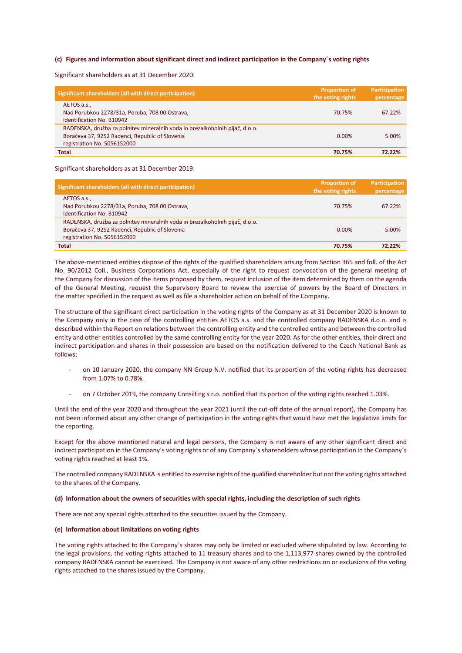## **(c) Figures and information about significant direct and indirect participation in the Company´s voting rights**

Significant shareholders as at 31 December 2020:

| Significant shareholders (all with direct participation)                                                                                                       | <b>Proportion of</b><br>the voting rights | Participation<br>percentage |
|----------------------------------------------------------------------------------------------------------------------------------------------------------------|-------------------------------------------|-----------------------------|
| AETOS a.s.,<br>Nad Porubkou 2278/31a, Poruba, 708 00 Ostrava,<br>identification No. B10942                                                                     | 70.75%                                    | 67.22%                      |
| RADENSKA, družba za polnitev mineralnih voda in brezalkoholnih pijač, d.o.o.<br>Boračeva 37, 9252 Radenci, Republic of Slovenia<br>registration No. 5056152000 | $0.00\%$                                  | 5.00%                       |
| <b>Total</b>                                                                                                                                                   | 70.75%                                    | 72.22%                      |

Significant shareholders as at 31 December 2019:

| Significant shareholders (all with direct participation)                                                                                                       | <b>Proportion of</b><br>the voting rights | Participation<br>percentage |
|----------------------------------------------------------------------------------------------------------------------------------------------------------------|-------------------------------------------|-----------------------------|
| AETOS a.s.,<br>Nad Porubkou 2278/31a, Poruba, 708 00 Ostrava,<br>identification No. B10942                                                                     | 70.75%                                    | 67.22%                      |
| RADENSKA, družba za polnitev mineralnih voda in brezalkoholnih pijač, d.o.o.<br>Boračeva 37, 9252 Radenci, Republic of Slovenia<br>registration No. 5056152000 | 0.00%                                     | 5.00%                       |
| <b>Total</b>                                                                                                                                                   | 70.75%                                    | 72.22%                      |

The above-mentioned entities dispose of the rights of the qualified shareholders arising from Section 365 and foll. of the Act No. 90/2012 Coll., Business Corporations Act, especially of the right to request convocation of the general meeting of the Company for discussion of the items proposed by them, request inclusion of the item determined by them on the agenda of the General Meeting, request the Supervisory Board to review the exercise of powers by the Board of Directors in the matter specified in the request as well as file a shareholder action on behalf of the Company.

The structure of the significant direct participation in the voting rights of the Company as at 31 December 2020 is known to the Company only in the case of the controlling entities AETOS a.s. and the controlled company RADENSKA d.o.o. and is described within the Report on relations between the controlling entity and the controlled entity and between the controlled entity and other entities controlled by the same controlling entity for the year 2020. As for the other entities, their direct and indirect participation and shares in their possession are based on the notification delivered to the Czech National Bank as follows:

- on 10 January 2020, the company NN Group N.V. notified that its proportion of the voting rights has decreased from 1.07% to 0.78%.
- on 7 October 2019, the company ConsilEng s.r.o. notified that its portion of the voting rights reached 1.03%.

Until the end of the year 2020 and throughout the year 2021 (until the cut-off date of the annual report), the Company has not been informed about any other change of participation in the voting rights that would have met the legislative limits for the reporting.

Except for the above mentioned natural and legal persons, the Company is not aware of any other significant direct and indirect participation in the Company´s voting rights or of any Company´s shareholders whose participation in the Company´s voting rights reached at least 1%.

The controlled company RADENSKA is entitled to exercise rights of the qualified shareholder but not the voting rights attached to the shares of the Company.

## **(d) Information about the owners of securities with special rights, including the description of such rights**

There are not any special rights attached to the securities issued by the Company.

### **(e) Information about limitations on voting rights**

The voting rights attached to the Company´s shares may only be limited or excluded where stipulated by law. According to the legal provisions, the voting rights attached to 11 treasury shares and to the 1,113,977 shares owned by the controlled company RADENSKA cannot be exercised. The Company is not aware of any other restrictions on or exclusions of the voting rights attached to the shares issued by the Company.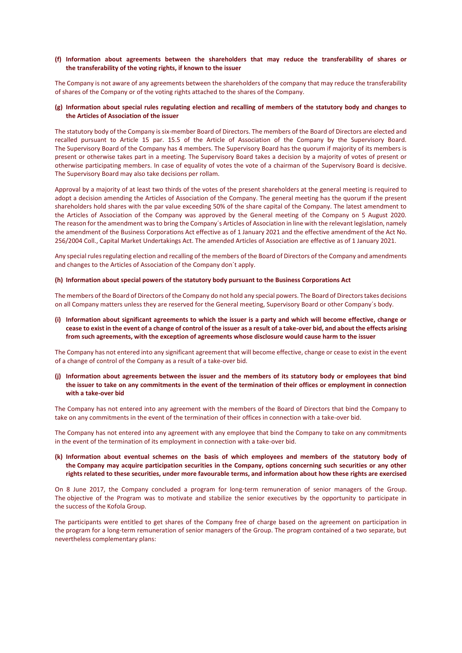# **(f) Information about agreements between the shareholders that may reduce the transferability of shares or the transferability of the voting rights, if known to the issuer**

The Company is not aware of any agreements between the shareholders of the company that may reduce the transferability of shares of the Company or of the voting rights attached to the shares of the Company.

# **(g) Information about special rules regulating election and recalling of members of the statutory body and changes to the Articles of Association of the issuer**

The statutory body of the Company is six-member Board of Directors. The members of the Board of Directors are elected and recalled pursuant to Article 15 par. 15.5 of the Article of Association of the Company by the Supervisory Board. The Supervisory Board of the Company has 4 members. The Supervisory Board has the quorum if majority of its members is present or otherwise takes part in a meeting. The Supervisory Board takes a decision by a majority of votes of present or otherwise participating members. In case of equality of votes the vote of a chairman of the Supervisory Board is decisive. The Supervisory Board may also take decisions per rollam.

Approval by a majority of at least two thirds of the votes of the present shareholders at the general meeting is required to adopt a decision amending the Articles of Association of the Company. The general meeting has the quorum if the present shareholders hold shares with the par value exceeding 50% of the share capital of the Company. The latest amendment to the Articles of Association of the Company was approved by the General meeting of the Company on 5 August 2020. The reason for the amendment was to bring the Company´s Articles of Association in line with the relevant legislation, namely the amendment of the Business Corporations Act effective as of 1 January 2021 and the effective amendment of the Act No. 256/2004 Coll., Capital Market Undertakings Act. The amended Articles of Association are effective as of 1 January 2021.

Any special rules regulating election and recalling of the members of the Board of Directors of the Company and amendments and changes to the Articles of Association of the Company don´t apply.

#### **(h) Information about special powers of the statutory body pursuant to the Business Corporations Act**

The members of the Board of Directors of the Company do not hold any special powers. The Board of Directors takes decisions on all Company matters unless they are reserved for the General meeting, Supervisory Board or other Company´s body.

**(i) Information about significant agreements to which the issuer is a party and which will become effective, change or cease to exist in the event of a change of control of the issuer as a result of a take-over bid, and about the effects arising from such agreements, with the exception of agreements whose disclosure would cause harm to the issuer**

The Company has not entered into any significant agreement that will become effective, change or cease to exist in the event of a change of control of the Company as a result of a take-over bid.

**(j) Information about agreements between the issuer and the members of its statutory body or employees that bind the issuer to take on any commitments in the event of the termination of their offices or employment in connection with a take-over bid**

The Company has not entered into any agreement with the members of the Board of Directors that bind the Company to take on any commitments in the event of the termination of their offices in connection with a take-over bid.

The Company has not entered into any agreement with any employee that bind the Company to take on any commitments in the event of the termination of its employment in connection with a take-over bid.

**(k) Information about eventual schemes on the basis of which employees and members of the statutory body of the Company may acquire participation securities in the Company, options concerning such securities or any other rights related to these securities, under more favourable terms, and information about how these rights are exercised**

On 8 June 2017, the Company concluded a program for long-term remuneration of senior managers of the Group. The objective of the Program was to motivate and stabilize the senior executives by the opportunity to participate in the success of the Kofola Group.

The participants were entitled to get shares of the Company free of charge based on the agreement on participation in the program for a long-term remuneration of senior managers of the Group. The program contained of a two separate, but nevertheless complementary plans: